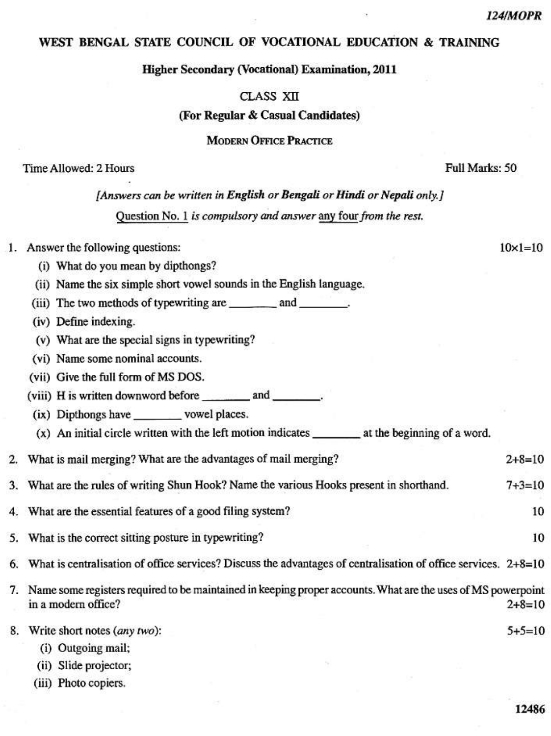$10 \times 1 = 10$ 

### WEST BENGAL STATE COUNCIL OF VOCATIONAL EDUCATION & TRAINING

**Higher Secondary (Vocational) Examination, 2011** 

**CLASS XII** 

(For Regular & Casual Candidates)

**MODERN OFFICE PRACTICE** 

Time Allowed: 2 Hours

Full Marks: 50

# [Answers can be written in English or Bengali or Hindi or Nepali only.] Ouestion No. 1 is compulsory and answer any four from the rest.

#### 1. Answer the following questions:

- (i) What do you mean by dipthongs?
- (ii) Name the six simple short vowel sounds in the English language.
- (iii) The two methods of typewriting are \_\_\_\_\_\_\_\_\_ and \_\_\_\_\_\_\_\_.
- (iv) Define indexing.
- (v) What are the special signs in typewriting?
- (vi) Name some nominal accounts.
- (vii) Give the full form of MS DOS.
- (viii) H is written downword before \_\_\_\_\_\_\_\_\_\_ and \_\_\_\_\_\_\_\_.
- (ix) Dipthongs have vowel places.
- $(x)$  An initial circle written with the left motion indicates  $\qquad \qquad$  at the beginning of a word.

#### 2. What is mail merging? What are the advantages of mail merging?  $2 + 8 = 10$

- What are the rules of writing Shun Hook? Name the various Hooks present in shorthand.  $7 + 3 = 10$ 3.
- What are the essential features of a good filing system? 4.
- What is the correct sitting posture in typewriting? 5.
- What is centralisation of office services? Discuss the advantages of centralisation of office services. 2+8=10
- 7. Name some registers required to be maintained in keeping proper accounts. What are the uses of MS powerpoint in a modern office?  $2 + 8 = 10$
- $5+5=10$ 8. Write short notes (any two):
	- (i) Outgoing mail;
	- (ii) Slide projector;
	- (iii) Photo copiers.

10

10